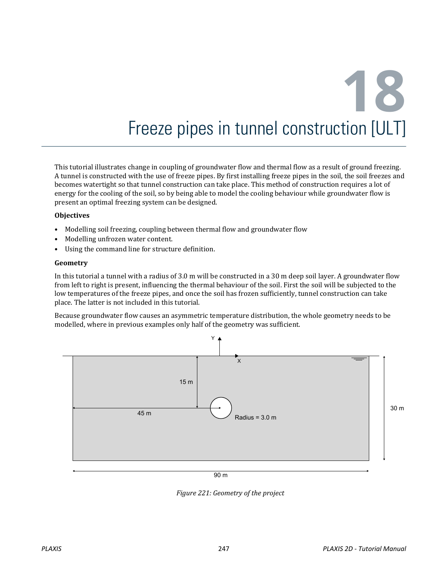# **18** Freeze pipes in tunnel construction [ULT]

This tutorial illustrates change in coupling of groundwater flow and thermal flow as a result of ground freezing. A tunnel is constructed with the use of freeze pipes. By first installing freeze pipes in the soil, the soil freezes and becomes watertight so that tunnel construction can take place. This method of construction requires a lot of energy for the cooling of the soil, so by being able to model the cooling behaviour while groundwater flow is present an optimal freezing system can be designed.

#### **Objectives**

- Modelling soil freezing, coupling between thermal flow and groundwater flow
- Modelling unfrozen water content.
- Using the command line for structure definition.

#### **Geometry**

In this tutorial a tunnel with a radius of 3.0 m will be constructed in a 30 m deep soil layer. A groundwater flow from left to right is present, influencing the thermal behaviour of the soil. First the soil will be subjected to the low temperatures of the freeze pipes, and once the soil has frozen sufficiently, tunnel construction can take place. The latter is not included in this tutorial.

Because groundwater flow causes an asymmetric temperature distribution, the whole geometry needs to be modelled, where in previous examples only half of the geometry was sufficient.



90 m

*Figure 221: Geometry of the project*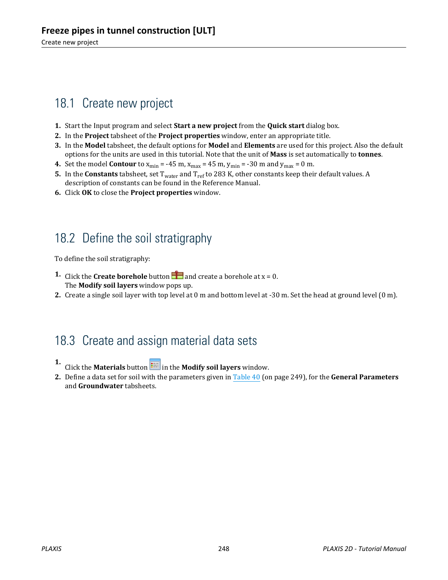# 18.1 Create new project

- **1.** Start the Input program and select **Start a new project** from the **Quick start** dialog box.
- **2.** In the **Project** tabsheet of the **Project properties** window, enter an appropriate title.
- **3.** In the **Model** tabsheet, the default options for **Model** and **Elements** are used for this project. Also the default options for the units are used in this tutorial. Note that the unit of **Mass** is set automatically to **tonnes**.
- **4.** Set the model **Contour** to  $x_{min} = -45$  m,  $x_{max} = 45$  m,  $y_{min} = -30$  m and  $y_{max} = 0$  m.
- **5.** In the **Constants** tabsheet, set T<sub>water</sub> and T<sub>ref</sub> to 283 K, other constants keep their default values. A description of constants can be found in the Reference Manual.
- **6.** Click **OK** to close the **Project properties** window.

## 18.2 Define the soil stratigraphy

To define the soil stratigraphy:

- **1.** Click the **Create borehole** button **a** and create a borehole at  $x = 0$ . The **Modify soil layers** window pops up.
- **2.** Create a single soil layer with top level at 0 m and bottom level at -30 m. Set the head at ground level (0 m).

## 18.3 Create and assign material data sets

- **1.** Click the **Materials** button **in the Modify soil layers** window.
- **2.** Define a data set for soil with the parameters given in Table 40 (on page 249), for the **General Parameters** and **Groundwater** tabsheets.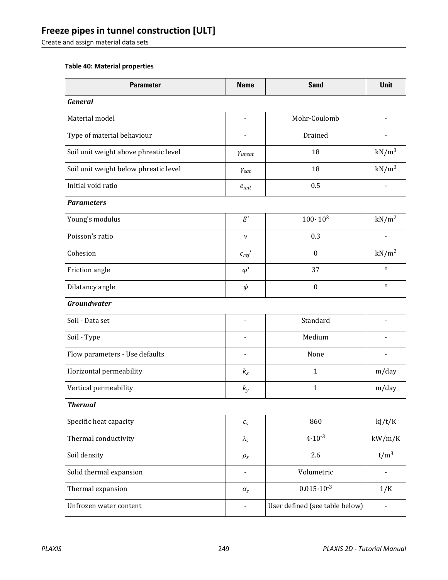## **Freeze pipes in tunnel construction [ULT]**

Create and assign material data sets

#### **Table 40: Material properties**

| <b>Parameter</b>                      | <b>Name</b>                  | <b>Sand</b>                    | Unit                     |  |  |
|---------------------------------------|------------------------------|--------------------------------|--------------------------|--|--|
| <b>General</b>                        |                              |                                |                          |  |  |
| Material model                        | $\qquad \qquad \blacksquare$ | Mohr-Coulomb                   |                          |  |  |
| Type of material behaviour            |                              | Drained                        |                          |  |  |
| Soil unit weight above phreatic level | Yunsat                       | 18                             | $kN/m^3$                 |  |  |
| Soil unit weight below phreatic level | $Y_{\text{sat}}$             | 18                             | $kN/m^3$                 |  |  |
| Initial void ratio                    | $e_{init}$                   | 0.5                            |                          |  |  |
| <b>Parameters</b>                     |                              |                                |                          |  |  |
| Young's modulus                       | $E^\prime$                   | $100 \cdot 10^{3}$             | kN/m <sup>2</sup>        |  |  |
| Poisson's ratio                       | $\boldsymbol{\nu}$           | 0.3                            |                          |  |  |
| Cohesion                              | $c_{ref}$                    | $\boldsymbol{0}$               | kN/m <sup>2</sup>        |  |  |
| Friction angle                        | $\varphi'$                   | 37                             | $\circ$                  |  |  |
| Dilatancy angle                       | $\psi$                       | $\boldsymbol{0}$               | $\circ$                  |  |  |
| <b>Groundwater</b>                    |                              |                                |                          |  |  |
| Soil - Data set                       | $\qquad \qquad \blacksquare$ | Standard                       |                          |  |  |
| Soil - Type                           |                              | Medium                         |                          |  |  |
| Flow parameters - Use defaults        | $\blacksquare$               | None                           |                          |  |  |
| Horizontal permeability               | $k_{x}$                      | $\mathbf{1}$                   | m/day                    |  |  |
| Vertical permeability                 | $k_y$                        | $\mathbf{1}$                   | m/day                    |  |  |
| <b>Thermal</b>                        |                              |                                |                          |  |  |
| Specific heat capacity                | $\mathcal{C}_S$              | 860                            | kJ/t/K                   |  |  |
| Thermal conductivity                  | $\lambda_{\rm s}$            | $4.10^{-3}$                    | kW/m/K                   |  |  |
| Soil density                          | $\rho_s$                     | 2.6                            | $t/m^3$                  |  |  |
| Solid thermal expansion               | $\overline{\phantom{0}}$     | Volumetric                     |                          |  |  |
| Thermal expansion                     | $\alpha_s$                   | $0.015 \cdot 10^{-3}$          | 1/K                      |  |  |
| Unfrozen water content                | $\frac{1}{2}$                | User defined (see table below) | $\overline{\phantom{0}}$ |  |  |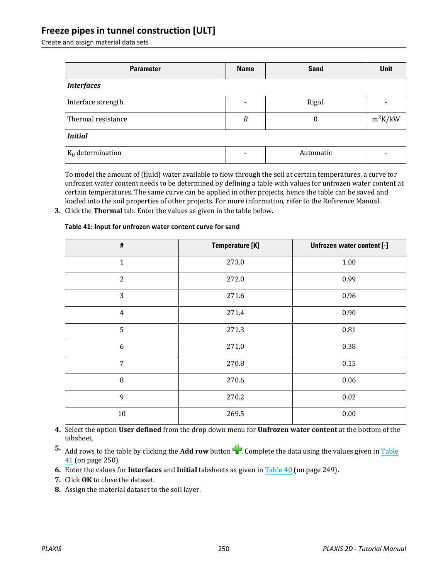### **Freeze pipes in tunnel construction [ULT]**

Create and assign material data sets

| <b>Parameter</b>    | <b>Name</b> | <b>Sand</b> | <b>Unit</b> |  |  |
|---------------------|-------------|-------------|-------------|--|--|
| <b>Interfaces</b>   |             |             |             |  |  |
| Interface strength  |             | Rigid       |             |  |  |
| Thermal resistance  | R           | $\Omega$    | $m^2K/kW$   |  |  |
| <b>Initial</b>      |             |             |             |  |  |
| $K_0$ determination |             | Automatic   |             |  |  |

To model the amount of (fluid) water available to flow through the soil at certain temperatures, a curve for unfrozen water content needs to be determined by defining a table with values for unfrozen water content at certain temperatures. The same curve can be applied in other projects, hence the table can be saved and loaded into the soil properties of other projects. For more information, refer to the Reference Manual.

**3.** Click the **Thermal** tab. Enter the values as given in the table below.

| $\#$           | <b>Temperature [K]</b> | Unfrozen water content [-] |
|----------------|------------------------|----------------------------|
| $\mathbf{1}$   | 273.0                  | 1.00                       |
| $\overline{2}$ | 272.0                  | 0.99                       |
| 3              | 271.6                  | 0.96                       |
| $\overline{4}$ | 271.4                  | 0.90                       |
| 5              | 271.3                  | $\rm 0.81$                 |
| 6              | 271.0                  | 0.38                       |
| $\overline{7}$ | 270.8                  | 0.15                       |
| 8              | 270.6                  | 0.06                       |
| 9              | 270.2                  | 0.02                       |
| $10\,$         | 269.5                  | $0.00\,$                   |

#### **Table 41: Input for unfrozen water content curve for sand**

- **4.** Select the option **User defined** from the drop down menu for **Unfrozen water content** at the bottom of the tabsheet.
- **5.** Add rows to the table by clicking the **Add row** button **1.** Complete the data using the values given in Table 41 (on page 250).
- **6.** Enter the values for **Interfaces** and **Initial** tabsheets as given in Table 40 (on page 249).
- **7.** Click **OK** to close the dataset.
- **8.** Assign the material dataset to the soil layer.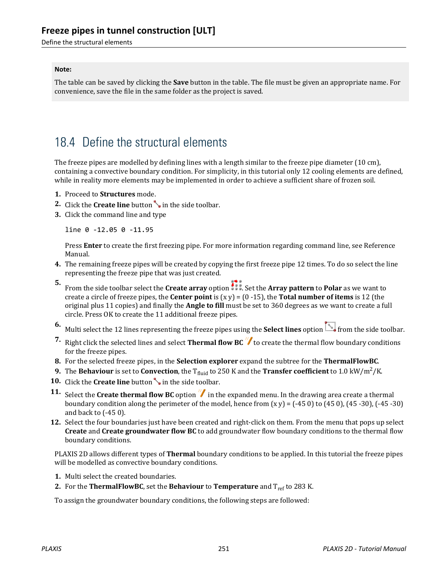Define the structural elements

#### **Note:**

The table can be saved by clicking the **Save** button in the table. The file must be given an appropriate name. For convenience, save the file in the same folder as the project is saved.

## 18.4 Define the structural elements

The freeze pipes are modelled by defining lines with a length similar to the freeze pipe diameter (10 cm), containing a convective boundary condition. For simplicity, in this tutorial only 12 cooling elements are defined, while in reality more elements may be implemented in order to achieve a sufficient share of frozen soil.

- **1.** Proceed to **Structures** mode.
- **2.** Click the **Create line** button in the side toolbar.
- **3.** Click the command line and type

line 0 -12.05 0 -11.95

Press **Enter** to create the first freezing pipe. For more information regarding command line, see Reference Manual.

- **4.** The remaining freeze pipes will be created by copying the first freeze pipe 12 times. To do so select the line representing the freeze pipe that was just created.
- **5.**
- From the side toolbar select the **Create array** option . Set the **Array pattern** to **Polar** as we want to create a circle of freeze pipes, the **Center point** is (x y) = (0 -15), the **Total number of items** is 12 (the original plus 11 copies) and finally the **Angle to fill** must be set to 360 degrees as we want to create a full circle. Press OK to create the 11 additional freeze pipes.
- **6.** Multi select the 12 lines representing the freeze pipes using the **Select lines** option from the side toolbar.
- **7.** Right click the selected lines and select **Thermal flow BC** to create the thermal flow boundary conditions for the freeze pipes.
- **8.** For the selected freeze pipes, in the **Selection explorer** expand the subtree for the **ThermalFlowBC**.
- **9.** The **Behaviour** is set to **Convection**, the T<sub>fluid</sub> to 250 K and the **Transfer coefficient** to 1.0 kW/m<sup>2</sup>/K.
- **10.** Click the **Create line** button in the side toolbar.
- **11.** Select the **Create thermal flow BC** option  $\mathscr Y$  in the expanded menu. In the drawing area create a thermal boundary condition along the perimeter of the model, hence from  $(x, y) = (-45, 0)$  to  $(45, 0)$ ,  $(45, -30)$ ,  $(-45, -30)$ and back to (-45 0).
- **12.** Select the four boundaries just have been created and right-click on them. From the menu that pops up select **Create** and **Create groundwater flow BC** to add groundwater flow boundary conditions to the thermal flow boundary conditions.

PLAXIS 2D allows different types of **Thermal** boundary conditions to be applied. In this tutorial the freeze pipes will be modelled as convective boundary conditions.

- **1.** Multi select the created boundaries.
- **2.** For the **ThermalFlowBC**, set the **Behaviour** to **Temperature** and  $T_{ref}$  to 283 K.

To assign the groundwater boundary conditions, the following steps are followed: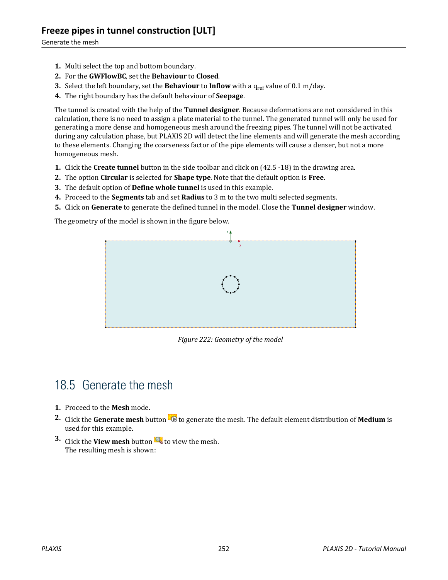- **1.** Multi select the top and bottom boundary.
- **2.** For the **GWFlowBC**, set the **Behaviour** to **Closed**.
- **3.** Select the left boundary, set the **Behaviour** to **Inflow** with a  $q_{ref}$  value of 0.1 m/day.
- **4.** The right boundary has the default behaviour of **Seepage**.

The tunnel is created with the help of the **Tunnel designer**. Because deformations are not considered in this calculation, there is no need to assign a plate material to the tunnel. The generated tunnel will only be used for generating a more dense and homogeneous mesh around the freezing pipes. The tunnel will not be activated during any calculation phase, but PLAXIS 2D will detect the line elements and will generate the mesh according to these elements. Changing the coarseness factor of the pipe elements will cause a denser, but not a more homogeneous mesh.

- **1.** Click the **Create tunnel** button in the side toolbar and click on (42.5 -18) in the drawing area.
- **2.** The option **Circular** is selected for **Shape type**. Note that the default option is **Free**.
- **3.** The default option of **Define whole tunnel** is used in this example.
- **4.** Proceed to the **Segments** tab and set **Radius** to 3 m to the two multi selected segments.
- **5.** Click on **Generate** to generate the defined tunnel in the model. Close the **Tunnel designer** window.

The geometry of the model is shown in the figure below.



*Figure 222: Geometry of the model*

# 18.5 Generate the mesh

- **1.** Proceed to the **Mesh** mode.
- **2.** Click the **Generate mesh** button **to** to generate the mesh. The default element distribution of **Medium** is used for this example.
- **3.** Click the **View mesh** button **the view the mesh.** The resulting mesh is shown: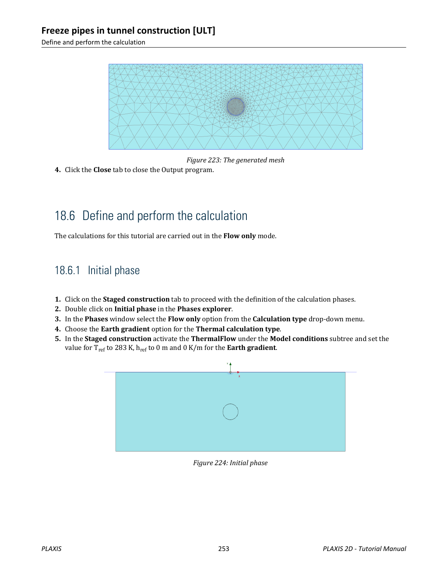Define and perform the calculation



*Figure 223: The generated mesh*

**4.** Click the **Close** tab to close the Output program.

# 18.6 Define and perform the calculation

The calculations for this tutorial are carried out in the **Flow only** mode.

## 18.6.1 Initial phase

- **1.** Click on the **Staged construction** tab to proceed with the definition of the calculation phases.
- **2.** Double click on **Initial phase** in the **Phases explorer**.
- **3.** In the **Phases** window select the **Flow only** option from the **Calculation type** drop-down menu.
- **4.** Choose the **Earth gradient** option for the **Thermal calculation type**.
- **5.** In the **Staged construction** activate the **ThermalFlow** under the **Model conditions** subtree and set the value for Tref to 283 K, href to 0 m and 0 K/m for the **Earth gradient**.



*Figure 224: Initial phase*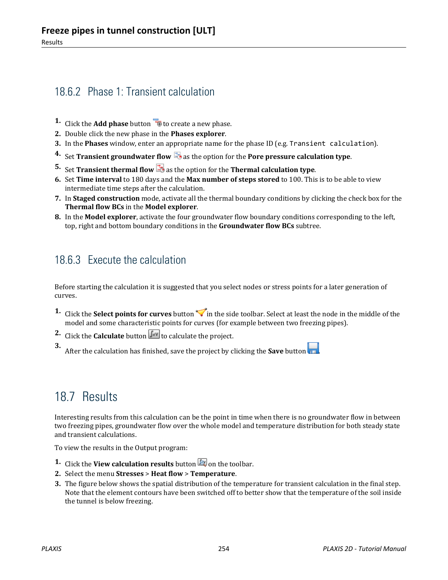## 18.6.2 Phase 1: Transient calculation

- **1.** Click the **Add phase** button  $\overline{B}$  to create a new phase.
- **2.** Double click the new phase in the **Phases explorer**.
- **3.** In the **Phases** window, enter an appropriate name for the phase ID (e.g. Transient calculation).
- **4.** Set **Transient groundwater flow b** as the option for the **Pore pressure calculation type**.
- **5.** Set **Transient thermal flow 3** as the option for the **Thermal calculation type**.
- **6.** Set **Time interval** to 180 days and the **Max number of steps stored** to 100. This is to be able to view intermediate time steps after the calculation.
- **7.** In **Staged construction** mode, activate all the thermal boundary conditions by clicking the check box for the **Thermal flow BCs** in the **Model explorer**.
- **8.** In the **Model explorer**, activate the four groundwater flow boundary conditions corresponding to the left, top, right and bottom boundary conditions in the **Groundwater flow BCs** subtree.

## 18.6.3 Execute the calculation

Before starting the calculation it is suggested that you select nodes or stress points for a later generation of curves.

- **1.** Click the **Select points for curves** button in the side toolbar. Select at least the node in the middle of the model and some characteristic points for curves (for example between two freezing pipes).
- **2.** Click the **Calculate** button  $\sqrt{\int_{0}^{4V}}$  to calculate the project.

**3.** After the calculation has finished, save the project by clicking the **Save** button

## 18.7 Results

Interesting results from this calculation can be the point in time when there is no groundwater flow in between two freezing pipes, groundwater flow over the whole model and temperature distribution for both steady state and transient calculations.

To view the results in the Output program:

- **1.** Click the **View calculation results** button **b** on the toolbar.
- **2.** Select the menu **Stresses** > **Heat flow** > **Temperature**.
- **3.** The figure below shows the spatial distribution of the temperature for transient calculation in the final step. Note that the element contours have been switched off to better show that the temperature of the soil inside the tunnel is below freezing.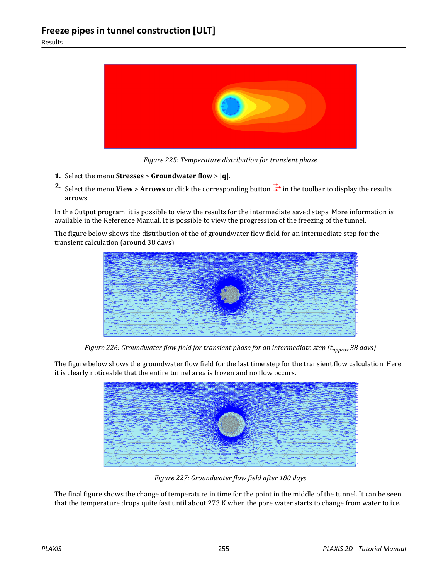

*Figure 225: Temperature distribution for transient phase*

- **1.** Select the menu **Stresses** > **Groundwater flow** > **|q|**.
- **2.** Select the menu **View** > **Arrows** or click the corresponding button  $\frac{1}{\sqrt{1}}$  in the toolbar to display the results arrows.

In the Output program, it is possible to view the results for the intermediate saved steps. More information is available in the Reference Manual. It is possible to view the progression of the freezing of the tunnel.

The figure below shows the distribution of the of groundwater flow field for an intermediate step for the transient calculation (around 38 days).



*Figure 226: Groundwater flow field for transient phase for an intermediate step (tapprox 38 days)*

The figure below shows the groundwater flow field for the last time step for the transient flow calculation. Here it is clearly noticeable that the entire tunnel area is frozen and no flow occurs.



*Figure 227: Groundwater flow field after 180 days*

The final figure shows the change of temperature in time for the point in the middle of the tunnel. It can be seen that the temperature drops quite fast until about 273 K when the pore water starts to change from water to ice.